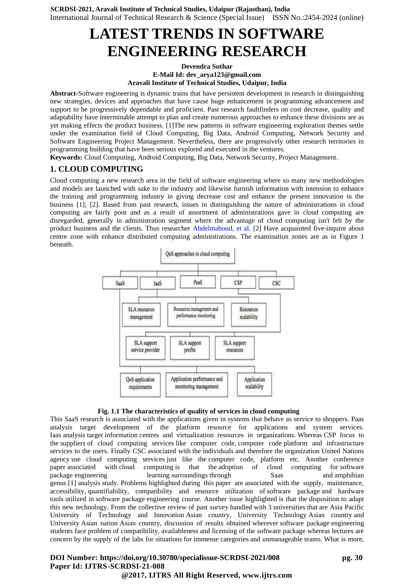# **LATEST TRENDS IN SOFTWARE ENGINEERING RESEARCH**

#### **Devendra Suthar E-Mail Id: dev\_arya123@gmail.com Aravali Institute of Technical Studies, Udaipur, India**

**Abstract-**Software engineering is dynamic trains that have persistent development in research in distinguishing new strategies, devices and approaches that have cause huge enhancement in programming advancement and support to be progressively dependable and proficient. Past research faultfinders on cost decrease, quality and adaptability have interminable attempt to plan and create numerous approaches to enhance these divisions are as yet making effects the product business. [1]The new patterns in software engineering exploration themes settle under the examination field of Cloud Computing, Big Data, Android Computing, Network Security and Software Engineering Project Management. Nevertheless, there are progressively other research territories in programming building that have been serious explored and executed in the ventures.

**Keywords:** Cloud Computing, Android Computing, Big Data, Network Security, Project Management.

# **1. CLOUD COMPUTING**

Cloud computing a new research area in the field of software engineering where so many new methodologies and models are launched with sake to the industry and likewise furnish information with intension to enhance the training and programming industry in giving decrease cost and enhance the present innovation in the business [1]; [2]. Based from past research, issues in distinguishing the nature of administrations in cloud computing are fairly poor and as a result of assortment of administrations gave in cloud computing are disregarded, generally in administration segment where the advantage of cloud computing isn't felt by the product business and the clients. Thus researcher Abdelmaboud, et al. [2] Have acquainted five-inquire about centre zone with enhance distributed computing administrations. The examination zones are as in Figure 1 beneath.



#### **Fig. 1.1 The characteristics of quality of services in cloud computing**

This SaaS research is associated with the applications given in systems that behave as service to shoppers. Paas analysis target development of the platform resource for applications and system services. Iaas analysis target information centres and virtualization resources in organizations. Whereas CSP focus to the suppliers of cloud computing services like computer code, computer code platform and infrastructure services to the users. Finally CSC associated with the individuals and therefore the organization United Nations agency use cloud computing services just like the computer code, platform etc. Another conference paper associated with cloud computing is that the adoption of cloud computing for software package engineering learning surroundings through Saas and amphibian genus [1] analysis study. Problems highlighted during this paper are associated with the supply, maintenance, accessibility, quantifiability, compatibility and resource utilization of software package and hardware tools utilized in software package engineering course. Another issue highlighted is that the disposition to adapt this new technology. From the collective review of past survey handled with 3 universities that are Asia Pacific University of Technology and Innovation Asian country, University Technology Asian country and University Asian nation Asian country, discussion of results obtained wherever software package engineering students face problem of compatibility, availableness and licensing of the software package whereas lectures are concern by the supply of the labs for situations for immense categories and unmanageable teams. What is more,

## **DOI Number: https://doi.org/10.30780/specialissue-SCRDSI-2021/008 pg. 30 Paper Id: IJTRS-SCRDSI-21-008**

#### **@2017, IJTRS All Right Reserved, www.ijtrs.com**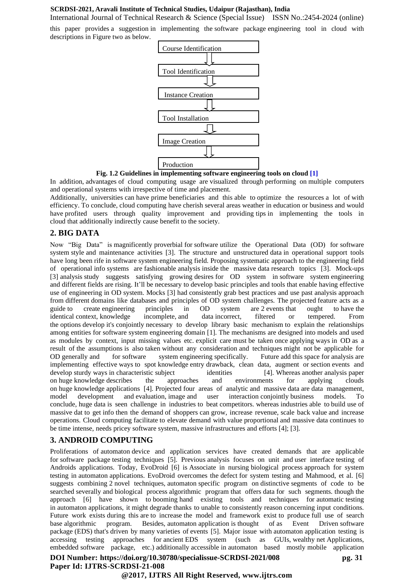### **SCRDSI-2021, Aravali Institute of Technical Studies, Udaipur (Rajasthan), India**

International Journal of Technical Research & Science (Special Issue) ISSN No.:2454-2024 (online)

this paper provides a suggestion in implementing the software package engineering tool in cloud with descriptions in Figure two as below.



#### **Fig. 1.2 Guidelines in implementing software engineering tools on cloud [1]**

In addition, advantages of cloud computing usage are visualized through performing on multiple computers and operational systems with irrespective of time and placement.

Additionally, universities can have prime beneficiaries and this able to optimize the resources a lot of with efficiency. To conclude, cloud computing have cherish several areas weather in education or business and would have profited users through quality improvement and providing tips in implementing the tools in cloud that additionally indirectly cause benefit to the society.

## **2. BIG DATA**

Now "Big Data" is magnificently proverbial for software utilize the Operational Data (OD) for software system style and maintenance activities [3]. The structure and unstructured data in operational support tools have long been rife in software system engineering field. Proposing systematic approach to the engineering field of operational info systems are fashionable analysis inside the massive data research topics [3]. Mock-ups [3] analysis study suggests satisfying growing desires for OD system in software system engineering and different fields are rising. It'll be necessary to develop basic principles and tools that enable having effective use of engineering in OD system. Mocks [3] had consistently grab best practices and use past analysis approach from different domains like databases and principles of OD system challenges. The projected feature acts as a guide to create engineering principles in OD system are 2 events that ought to have the guide to create engineering principles in OD system are 2 events that ought to have the identical context, knowledge incomplete, and data incorrect, filtered or tempered. From the options develop it's conjointly necessary to develop library basic mechanism to explain the relationships among entities for software system engineering domain [1]. The mechanisms are designed into models and used as modules by context, input missing values etc. explicit care must be taken once applying ways in OD as a result of the assumptions is also taken without any consideration and techniques might not be applicable for OD generally and for software system engineering specifically. Future add this space for analysis are implementing effective ways to spot knowledge entry drawback, clean data, augment or section events and develop sturdy ways in characteristic subject identities [4]. Whereas another analysis paper on huge knowledge describes the approaches and environments for applying clouds on huge knowledge applications [4]. Projected four areas of analytic and massive data are data management, model development and evaluation, image and user interaction conjointly business models. To conclude, huge data is seen challenge in industries to beat competitors. whereas industries able to build use of massive dat to get info then the demand of shoppers can grow, increase revenue, scale back value and increase operations. Cloud computing facilitate to elevate demand with value proportional and massive data continues to be time intense, needs pricey software system, massive infrastructures and efforts [4]; [3].

## **3. ANDROID COMPUTING**

Proliferations of automaton device and application services have created demands that are applicable for software package testing techniques [5]. Previous analysis focuses on unit and user interface testing of Androids applications. Today, EvoDroid [6] is Associate in nursing biological process approach for system testing in automaton applications. EvoDroid overcomes the defect for system testing and Mahmood, et al. [6] suggests combining 2 novel techniques, automaton specific program on distinctive segments of code to be searched severally and biological process algorithmic program that offers data for such segments. though the approach [6] have shown to booming hand existing tools and techniques for automatic testing in automaton applications, it might degrade thanks to unable to consistently reason concerning input conditions. Future work exists during this are to increase the model and framework exist to produce full use of search base algorithmic program. Besides, automaton application is thought of as Event Driven software package (EDS) that's driven by many varieties of events [5]. Major issue with automaton application testing is accessing testing approaches for ancient EDS system (such as GUIs, wealthy net Applications, embedded software package, etc.) additionally accessible in automaton based mostly mobile application

**DOI Number: https://doi.org/10.30780/specialissue-SCRDSI-2021/008 pg. 31 Paper Id: IJTRS-SCRDSI-21-008**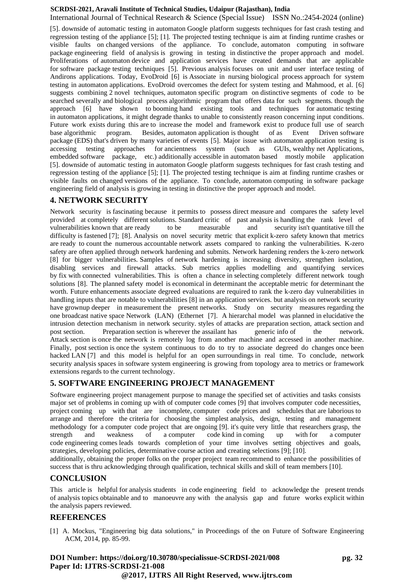## **SCRDSI-2021, Aravali Institute of Technical Studies, Udaipur (Rajasthan), India**

International Journal of Technical Research & Science (Special Issue) ISSN No.:2454-2024 (online)

[5]. downside of automatic testing in automaton Google platform suggests techniques for fast crash testing and regression testing of the appliance [5]; [1]. The projected testing technique is aim at finding runtime crashes or visible faults on changed versions of the appliance. To conclude, automaton computing in software package engineering field of analysis is growing in testing in distinctive the proper approach and model. Proliferations of automaton device and application services have created demands that are applicable for software package testing techniques [5]. Previous analysis focuses on unit and user interface testing of Andirons applications. Today, EvoDroid [6] is Associate in nursing biological process approach for system testing in automaton applications. EvoDroid overcomes the defect for system testing and Mahmood, et al. [6] suggests combining 2 novel techniques, automaton specific program on distinctive segments of code to be searched severally and biological process algorithmic program that offers data for such segments. though the approach [6] have shown to booming hand existing tools and techniques for automatic testing in automaton applications, it might degrade thanks to unable to consistently reason concerning input conditions. Future work exists during this are to increase the model and framework exist to produce full use of search base algorithmic program. Besides, automaton application is thought of as Event Driven software package (EDS) that's driven by many varieties of events [5]. Major issue with automaton application testing is accessing testing approaches for ancientness system (such as GUIs, wealthy net Applications, embedded software package, etc.) additionally accessible in automaton based mostly mobile application [5]. downside of automatic testing in automaton Google platform suggests techniques for fast crash testing and regression testing of the appliance [5]; [1]. The projected testing technique is aim at finding runtime crashes or visible faults on changed versions of the appliance. To conclude, automaton computing in software package engineering field of analysis is growing in testing in distinctive the proper approach and model.

## **4. NETWORK SECURITY**

Network security is fascinating because it permits to possess direct measure and compares the safety level provided at completely different solutions. Standard critic of past analysis is handling the rank level of vulnerabilities known that are ready to be measurable and security isn't quantitative till the difficulty is fastened [7]; [8]. Analysis on novel security metric that explicit k-zero safety known that metrics are ready to count the numerous accountable network assets compared to ranking the vulnerabilities. K-zero safety are often applied through network hardening and submits. Network hardening renders the k-zero network [8] for bigger vulnerabilities. Samples of network hardening is increasing diversity, strengthen isolation, disabling services and firewall attacks. Sub metrics applies modelling and quantifying services by fix with connected vulnerabilities. This is often a chance in selecting completely different network tough solutions [8]. The planned safety model is economical in determinant the acceptable metric for determinant the worth. Future enhancements associate degreed evaluations are required to rank the k-zero day vulnerabilities in handling inputs that are notable to vulnerabilities [8] in an application services. but analysis on network security have grownup deeper in measurement the present networks. Study on security measures regarding the one broadcast native space Network (LAN) (Ethernet [7]. A hierarchal model was planned in elucidative the intrusion detection mechanism in network security. styles of attacks are preparation section, attack section and post section. Preparation section is wherever the assailant has generic info of the network. Attack section is once the network is remotely log from another machine and accessed in another machine. Finally, post section is once the system continuous to do to try to associate degreed do changes once been hacked LAN [7] and this model is helpful for an open surroundings in real time. To conclude, network security analysis spaces in software system engineering is growing from topology area to metrics or framework extensions regards to the current technology.

# **5. SOFTWARE ENGINEERING PROJECT MANAGEMENT**

Software engineering project management purpose to manage the specified set of activities and tasks consists major set of problems in coming up with of computer code comes [9] that involves computer code necessities, project coming up with that are incomplete, computer code prices and schedules that are laborious to arrange and therefore the criteria for choosing the simplest analysis, design, testing and management methodology for a computer code project that are ongoing [9]. it's quite very little that researchers grasp, the strength and weakness of a computer code kind in coming up with for a computer code engineering comes leads towards completion of your time involves setting objectives and goals, strategies, developing policies, determinative course action and creating selections [9]; [10].

additionally, obtaining the proper folks on the proper project team recommend to enhance the possibilities of success that is thru acknowledging through qualification, technical skills and skill of team members [10].

## **CONCLUSION**

This article is helpful for analysis students in code engineering field to acknowledge the present trends of analysis topics obtainable and to manoeuvre any with the analysis gap and future works explicit within the analysis papers reviewed.

## **REFERENCES**

[1] A. Mockus, "Engineering big data solutions," in Proceedings of the on Future of Software Engineering ACM, 2014, pp. 85-99.

**DOI Number: https://doi.org/10.30780/specialissue-SCRDSI-2021/008 pg. 32 Paper Id: IJTRS-SCRDSI-21-008 @2017, IJTRS All Right Reserved, www.ijtrs.com**